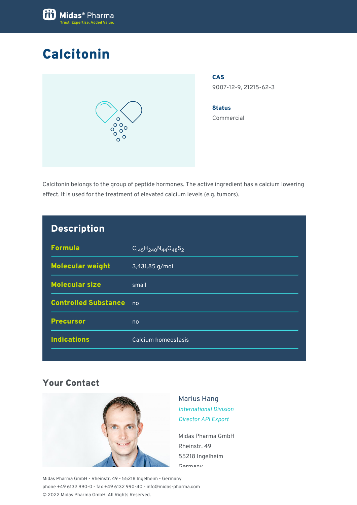

## Calcitonin



CAS 9007-12-9, 21215-62-3

**Status** Commercial

Calcitonin belongs to the group of peptide hormones. The active ingredient has a calcium lowering effect. It is used for the treatment of elevated calcium levels (e.g. tumors).

| <b>Description</b>          |                                 |
|-----------------------------|---------------------------------|
| <b>Formula</b>              | $C_{145}H_{240}N_{44}O_{48}S_2$ |
| <b>Molecular weight</b>     | 3,431.85 g/mol                  |
| <b>Molecular size</b>       | small                           |
| <b>Controlled Substance</b> | no                              |
| <b>Precursor</b>            | no                              |
| <b>Indications</b>          | Calcium homeostasis             |
|                             |                                 |

## Your Contact



Marius Hang *International Division Director API Export*

Midas Pharma GmbH Rheinstr. 49 55218 Ingelheim Germany

Midas Pharma GmbH - Rheinstr. 49 - 55218 Ingelheim - Germany phone +49 6132 990-0 - fax +49 6132 990-40 - info@midas-pharma.com © 2022 Midas Pharma GmbH. All Rights Reserved.